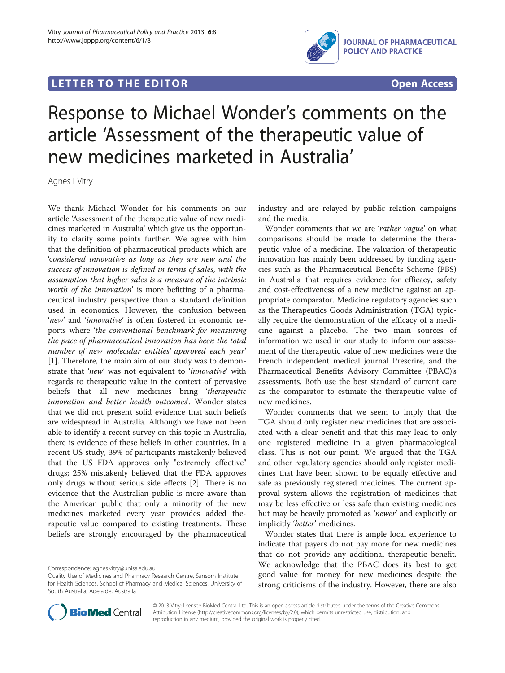## **LETTER TO THE EDITOR CONSIDERING ACCESS**



# Response to Michael Wonder's comments on the article 'Assessment of the therapeutic value of new medicines marketed in Australia'

Agnes I Vitry

We thank Michael Wonder for his comments on our article 'Assessment of the therapeutic value of new medicines marketed in Australia' which give us the opportunity to clarify some points further. We agree with him that the definition of pharmaceutical products which are 'considered innovative as long as they are new and the success of innovation is defined in terms of sales, with the assumption that higher sales is a measure of the intrinsic worth of the innovation' is more befitting of a pharmaceutical industry perspective than a standard definition used in economics. However, the confusion between 'new' and 'innovative' is often fostered in economic reports where 'the conventional benchmark for measuring the pace of pharmaceutical innovation has been the total number of new molecular entities' approved each year' [[1\]](#page-1-0). Therefore, the main aim of our study was to demonstrate that 'new' was not equivalent to 'innovative' with regards to therapeutic value in the context of pervasive beliefs that all new medicines bring 'therapeutic innovation and better health outcomes'. Wonder states that we did not present solid evidence that such beliefs are widespread in Australia. Although we have not been able to identify a recent survey on this topic in Australia, there is evidence of these beliefs in other countries. In a recent US study, 39% of participants mistakenly believed that the US FDA approves only "extremely effective" drugs; 25% mistakenly believed that the FDA approves only drugs without serious side effects [[2\]](#page-1-0). There is no evidence that the Australian public is more aware than the American public that only a minority of the new medicines marketed every year provides added therapeutic value compared to existing treatments. These beliefs are strongly encouraged by the pharmaceutical

industry and are relayed by public relation campaigns and the media.

Wonder comments that we are 'rather vague' on what comparisons should be made to determine the therapeutic value of a medicine. The valuation of therapeutic innovation has mainly been addressed by funding agencies such as the Pharmaceutical Benefits Scheme (PBS) in Australia that requires evidence for efficacy, safety and cost-effectiveness of a new medicine against an appropriate comparator. Medicine regulatory agencies such as the Therapeutics Goods Administration (TGA) typically require the demonstration of the efficacy of a medicine against a placebo. The two main sources of information we used in our study to inform our assessment of the therapeutic value of new medicines were the French independent medical journal Prescrire, and the Pharmaceutical Benefits Advisory Committee (PBAC)'s assessments. Both use the best standard of current care as the comparator to estimate the therapeutic value of new medicines.

Wonder comments that we seem to imply that the TGA should only register new medicines that are associated with a clear benefit and that this may lead to only one registered medicine in a given pharmacological class. This is not our point. We argued that the TGA and other regulatory agencies should only register medicines that have been shown to be equally effective and safe as previously registered medicines. The current approval system allows the registration of medicines that may be less effective or less safe than existing medicines but may be heavily promoted as 'newer' and explicitly or implicitly 'better' medicines.

Wonder states that there is ample local experience to indicate that payers do not pay more for new medicines that do not provide any additional therapeutic benefit. We acknowledge that the PBAC does its best to get good value for money for new medicines despite the strong criticisms of the industry. However, there are also



© 2013 Vitry; licensee BioMed Central Ltd. This is an open access article distributed under the terms of the Creative Commons Attribution License (<http://creativecommons.org/licenses/by/2.0>), which permits unrestricted use, distribution, and reproduction in any medium, provided the original work is properly cited.

Correspondence: [agnes.vitry@unisa.edu.au](mailto:agnes.vitry@unisa.edu.au)

Quality Use of Medicines and Pharmacy Research Centre, Sansom Institute for Health Sciences, School of Pharmacy and Medical Sciences, University of South Australia, Adelaide, Australia